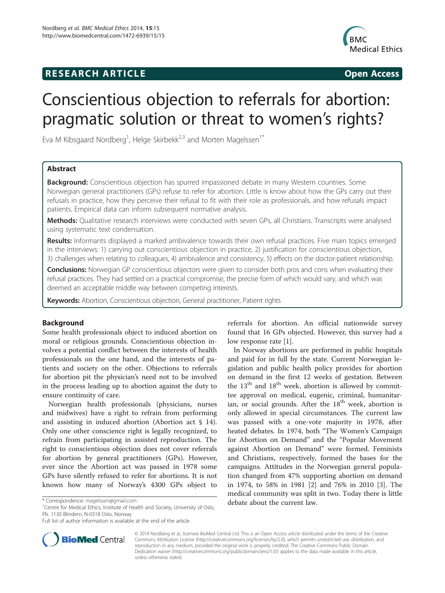# **RESEARCH ARTICLE Example 2014 CONSIDERING CONSIDERING CONSIDERING CONSIDERING CONSIDERING CONSIDERING CONSIDERING CONSIDERING CONSIDERING CONSIDERING CONSIDERING CONSIDERING CONSIDERING CONSIDERING CONSIDERING CONSIDE**



# Conscientious objection to referrals for abortion: pragmatic solution or threat to women's rights?

Eva M Kibsgaard Nordberg<sup>1</sup>, Helge Skirbekk<sup>2,3</sup> and Morten Magelssen<sup>1\*</sup>

# Abstract

Background: Conscientious objection has spurred impassioned debate in many Western countries. Some Norwegian general practitioners (GPs) refuse to refer for abortion. Little is know about how the GPs carry out their refusals in practice, how they perceive their refusal to fit with their role as professionals, and how refusals impact patients. Empirical data can inform subsequent normative analysis.

Methods: Qualitative research interviews were conducted with seven GPs, all Christians. Transcripts were analysed using systematic text condensation.

Results: Informants displayed a marked ambivalence towards their own refusal practices. Five main topics emerged in the interviews: 1) carrying out conscientious objection in practice, 2) justification for conscientious objection, 3) challenges when relating to colleagues, 4) ambivalence and consistency, 5) effects on the doctor-patient relationship.

Conclusions: Norwegian GP conscientious objectors were given to consider both pros and cons when evaluating their refusal practices. They had settled on a practical compromise, the precise form of which would vary, and which was deemed an acceptable middle way between competing interests.

Keywords: Abortion, Conscientious objection, General practitioner, Patient rights

# Background

Some health professionals object to induced abortion on moral or religious grounds. Conscientious objection involves a potential conflict between the interests of health professionals on the one hand, and the interests of patients and society on the other. Objections to referrals for abortion pit the physician's need not to be involved in the process leading up to abortion against the duty to ensure continuity of care.

Norwegian health professionals (physicians, nurses and midwives) have a right to refrain from performing and assisting in induced abortion (Abortion act § 14). Only one other conscience right is legally recognized, to refrain from participating in assisted reproduction. The right to conscientious objection does not cover referrals for abortion by general practitioners (GPs). However, ever since the Abortion act was passed in 1978 some GPs have silently refused to refer for abortions. It is not known how many of Norway's 4300 GPs object to

\* Correspondence: [magelssen@gmail.com](mailto:magelssen@gmail.com)<br><sup>1</sup>Centre for Medical Ethics, Institute of Health and Society, University of Oslo, **debate about the current law.** Pb. 1130 Blindern, N-0318 Oslo, Norway

referrals for abortion. An official nationwide survey found that 16 GPs objected. However, this survey had a low response rate [[1\]](#page-8-0).

In Norway abortions are performed in public hospitals and paid for in full by the state. Current Norwegian legislation and public health policy provides for abortion on demand in the first 12 weeks of gestation. Between the  $13<sup>th</sup>$  and  $18<sup>th</sup>$  week, abortion is allowed by committee approval on medical, eugenic, criminal, humanitarian, or social grounds. After the  $18<sup>th</sup>$  week, abortion is only allowed in special circumstances. The current law was passed with a one-vote majority in 1978, after heated debates. In 1974, both "The Women's Campaign for Abortion on Demand" and the "Popular Movement against Abortion on Demand" were formed. Feminists and Christians, respectively, formed the bases for the campaigns. Attitudes in the Norwegian general population changed from 47% supporting abortion on demand in 1974, to 58% in 1981 [[2\]](#page-8-0) and 76% in 2010 [[3\]](#page-8-0). The medical community was split in two. Today there is little



© 2014 Nordberg et al.; licensee BioMed Central Ltd. This is an Open Access article distributed under the terms of the Creative Commons Attribution License [\(http://creativecommons.org/licenses/by/2.0\)](http://creativecommons.org/licenses/by/2.0), which permits unrestricted use, distribution, and reproduction in any medium, provided the original work is properly credited. The Creative Commons Public Domain Dedication waiver [\(http://creativecommons.org/publicdomain/zero/1.0/](http://creativecommons.org/publicdomain/zero/1.0/)) applies to the data made available in this article, unless otherwise stated.

Full list of author information is available at the end of the article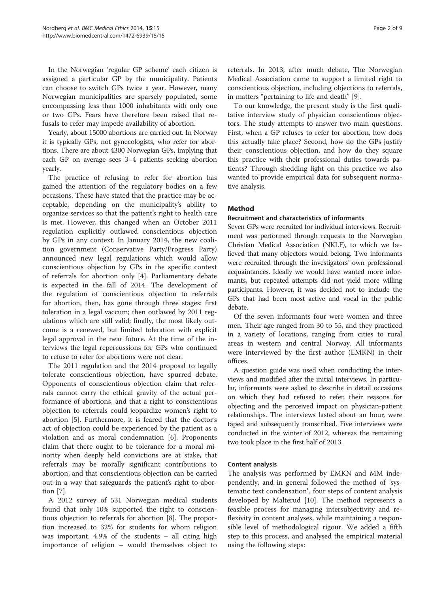In the Norwegian 'regular GP scheme' each citizen is assigned a particular GP by the municipality. Patients can choose to switch GPs twice a year. However, many Norwegian municipalities are sparsely populated, some encompassing less than 1000 inhabitants with only one or two GPs. Fears have therefore been raised that refusals to refer may impede availability of abortion.

Yearly, about 15000 abortions are carried out. In Norway it is typically GPs, not gynecologists, who refer for abortions. There are about 4300 Norwegian GPs, implying that each GP on average sees 3–4 patients seeking abortion yearly.

The practice of refusing to refer for abortion has gained the attention of the regulatory bodies on a few occasions. These have stated that the practice may be acceptable, depending on the municipality's ability to organize services so that the patient's right to health care is met. However, this changed when an October 2011 regulation explicitly outlawed conscientious objection by GPs in any context. In January 2014, the new coalition government (Conservative Party/Progress Party) announced new legal regulations which would allow conscientious objection by GPs in the specific context of referrals for abortion only [[4\]](#page-8-0). Parliamentary debate is expected in the fall of 2014. The development of the regulation of conscientious objection to referrals for abortion, then, has gone through three stages: first toleration in a legal vaccum; then outlawed by 2011 regulations which are still valid; finally, the most likely outcome is a renewed, but limited toleration with explicit legal approval in the near future. At the time of the interviews the legal repercussions for GPs who continued to refuse to refer for abortions were not clear.

The 2011 regulation and the 2014 proposal to legally tolerate conscientious objection, have spurred debate. Opponents of conscientious objection claim that referrals cannot carry the ethical gravity of the actual performance of abortions, and that a right to conscientious objection to referrals could jeopardize women's right to abortion [[5\]](#page-8-0). Furthermore, it is feared that the doctor's act of objection could be experienced by the patient as a violation and as moral condemnation [\[6\]](#page-8-0). Proponents claim that there ought to be tolerance for a moral minority when deeply held convictions are at stake, that referrals may be morally significant contributions to abortion, and that conscientious objection can be carried out in a way that safeguards the patient's right to abortion [\[7\]](#page-8-0).

A 2012 survey of 531 Norwegian medical students found that only 10% supported the right to conscientious objection to referrals for abortion [[8\]](#page-8-0). The proportion increased to 32% for students for whom religion was important. 4.9% of the students – all citing high importance of religion – would themselves object to

referrals. In 2013, after much debate, The Norwegian Medical Association came to support a limited right to conscientious objection, including objections to referrals, in matters "pertaining to life and death" [\[9\]](#page-8-0).

To our knowledge, the present study is the first qualitative interview study of physician conscientious objectors. The study attempts to answer two main questions. First, when a GP refuses to refer for abortion, how does this actually take place? Second, how do the GPs justify their conscientious objection, and how do they square this practice with their professional duties towards patients? Through shedding light on this practice we also wanted to provide empirical data for subsequent normative analysis.

### **Method**

### Recruitment and characteristics of informants

Seven GPs were recruited for individual interviews. Recruitment was performed through requests to the Norwegian Christian Medical Association (NKLF), to which we believed that many objectors would belong. Two informants were recruited through the investigators' own professional acquaintances. Ideally we would have wanted more informants, but repeated attempts did not yield more willing participants. However, it was decided not to include the GPs that had been most active and vocal in the public debate.

Of the seven informants four were women and three men. Their age ranged from 30 to 55, and they practiced in a variety of locations, ranging from cities to rural areas in western and central Norway. All informants were interviewed by the first author (EMKN) in their offices.

A question guide was used when conducting the interviews and modified after the initial interviews. In particular, informants were asked to describe in detail occasions on which they had refused to refer, their reasons for objecting and the perceived impact on physician-patient relationships. The interviews lasted about an hour, were taped and subsequently transcribed. Five interviews were conducted in the winter of 2012, whereas the remaining two took place in the first half of 2013.

### Content analysis

The analysis was performed by EMKN and MM independently, and in general followed the method of 'systematic text condensation', four steps of content analysis developed by Malterud [[10](#page-8-0)]. The method represents a feasible process for managing intersubjectivity and reflexivity in content analyses, while maintaining a responsible level of methodological rigour. We added a fifth step to this process, and analysed the empirical material using the following steps: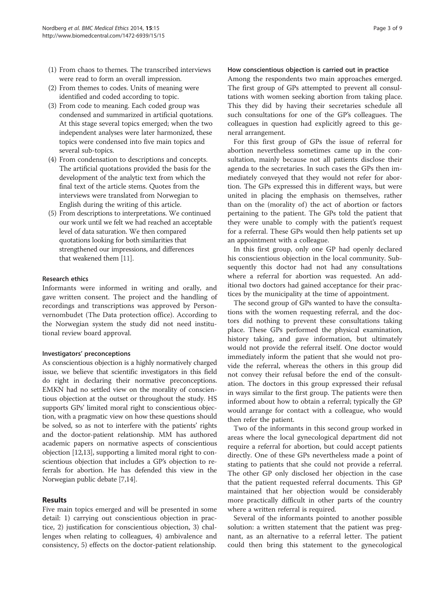- (1) From chaos to themes. The transcribed interviews were read to form an overall impression.
- (2) From themes to codes. Units of meaning were identified and coded according to topic.
- (3) From code to meaning. Each coded group was condensed and summarized in artificial quotations. At this stage several topics emerged; when the two independent analyses were later harmonized, these topics were condensed into five main topics and several sub-topics.
- (4) From condensation to descriptions and concepts. The artificial quotations provided the basis for the development of the analytic text from which the final text of the article stems. Quotes from the interviews were translated from Norwegian to English during the writing of this article.
- (5) From descriptions to interpretations. We continued our work until we felt we had reached an acceptable level of data saturation. We then compared quotations looking for both similarities that strengthened our impressions, and differences that weakened them [[11](#page-8-0)].

#### Research ethics

Informants were informed in writing and orally, and gave written consent. The project and the handling of recordings and transcriptions was approved by Personvernombudet (The Data protection office). According to the Norwegian system the study did not need institutional review board approval.

#### Investigators' preconceptions

As conscientious objection is a highly normatively charged issue, we believe that scientific investigators in this field do right in declaring their normative preconceptions. EMKN had no settled view on the morality of conscientious objection at the outset or throughout the study. HS supports GPs' limited moral right to conscientious objection, with a pragmatic view on how these questions should be solved, so as not to interfere with the patients' rights and the doctor-patient relationship. MM has authored academic papers on normative aspects of conscientious objection [[12,13\]](#page-8-0), supporting a limited moral right to conscientious objection that includes a GP's objection to referrals for abortion. He has defended this view in the Norwegian public debate [\[7,14\]](#page-8-0).

### Results

Five main topics emerged and will be presented in some detail: 1) carrying out conscientious objection in practice, 2) justification for conscientious objection, 3) challenges when relating to colleagues, 4) ambivalence and consistency, 5) effects on the doctor-patient relationship.

#### How conscientious objection is carried out in practice

Among the respondents two main approaches emerged. The first group of GPs attempted to prevent all consultations with women seeking abortion from taking place. This they did by having their secretaries schedule all such consultations for one of the GP's colleagues. The colleagues in question had explicitly agreed to this general arrangement.

For this first group of GPs the issue of referral for abortion nevertheless sometimes came up in the consultation, mainly because not all patients disclose their agenda to the secretaries. In such cases the GPs then immediately conveyed that they would not refer for abortion. The GPs expressed this in different ways, but were united in placing the emphasis on themselves, rather than on the (morality of) the act of abortion or factors pertaining to the patient. The GPs told the patient that they were unable to comply with the patient's request for a referral. These GPs would then help patients set up an appointment with a colleague.

In this first group, only one GP had openly declared his conscientious objection in the local community. Subsequently this doctor had not had any consultations where a referral for abortion was requested. An additional two doctors had gained acceptance for their practices by the municipality at the time of appointment.

The second group of GPs wanted to have the consultations with the women requesting referral, and the doctors did nothing to prevent these consultations taking place. These GPs performed the physical examination, history taking, and gave information, but ultimately would not provide the referral itself. One doctor would immediately inform the patient that she would not provide the referral, whereas the others in this group did not convey their refusal before the end of the consultation. The doctors in this group expressed their refusal in ways similar to the first group. The patients were then informed about how to obtain a referral; typically the GP would arrange for contact with a colleague, who would then refer the patient.

Two of the informants in this second group worked in areas where the local gynecological department did not require a referral for abortion, but could accept patients directly. One of these GPs nevertheless made a point of stating to patients that she could not provide a referral. The other GP only disclosed her objection in the case that the patient requested referral documents. This GP maintained that her objection would be considerably more practically difficult in other parts of the country where a written referral is required.

Several of the informants pointed to another possible solution: a written statement that the patient was pregnant, as an alternative to a referral letter. The patient could then bring this statement to the gynecological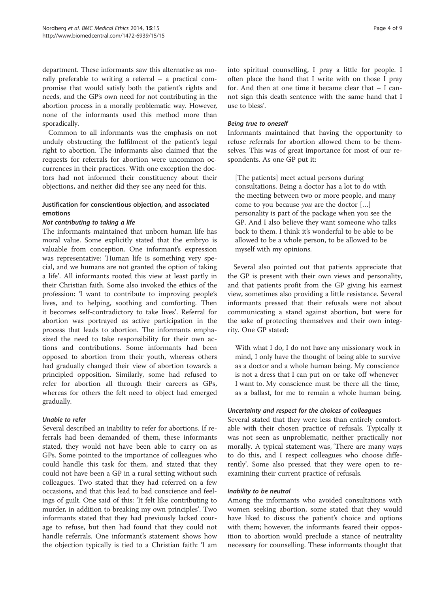department. These informants saw this alternative as morally preferable to writing a referral – a practical compromise that would satisfy both the patient's rights and needs, and the GP's own need for not contributing in the abortion process in a morally problematic way. However, none of the informants used this method more than sporadically.

Common to all informants was the emphasis on not unduly obstructing the fulfilment of the patient's legal right to abortion. The informants also claimed that the requests for referrals for abortion were uncommon occurrences in their practices. With one exception the doctors had not informed their constituency about their objections, and neither did they see any need for this.

# Justification for conscientious objection, and associated emotions

#### Not contributing to taking a life

The informants maintained that unborn human life has moral value. Some explicitly stated that the embryo is valuable from conception. One informant's expression was representative: 'Human life is something very special, and we humans are not granted the option of taking a life'. All informants rooted this view at least partly in their Christian faith. Some also invoked the ethics of the profession: 'I want to contribute to improving people's lives, and to helping, soothing and comforting. Then it becomes self-contradictory to take lives'. Referral for abortion was portrayed as active participation in the process that leads to abortion. The informants emphasized the need to take responsibility for their own actions and contributions. Some informants had been opposed to abortion from their youth, whereas others had gradually changed their view of abortion towards a principled opposition. Similarly, some had refused to refer for abortion all through their careers as GPs, whereas for others the felt need to object had emerged gradually.

#### Unable to refer

Several described an inability to refer for abortions. If referrals had been demanded of them, these informants stated, they would not have been able to carry on as GPs. Some pointed to the importance of colleagues who could handle this task for them, and stated that they could not have been a GP in a rural setting without such colleagues. Two stated that they had referred on a few occasions, and that this lead to bad conscience and feelings of guilt. One said of this: 'It felt like contributing to murder, in addition to breaking my own principles'. Two informants stated that they had previously lacked courage to refuse, but then had found that they could not handle referrals. One informant's statement shows how the objection typically is tied to a Christian faith: 'I am into spiritual counselling, I pray a little for people. I often place the hand that I write with on those I pray for. And then at one time it became clear that – I cannot sign this death sentence with the same hand that I use to bless'.

#### Being true to oneself

Informants maintained that having the opportunity to refuse referrals for abortion allowed them to be themselves. This was of great importance for most of our respondents. As one GP put it:

[The patients] meet actual persons during consultations. Being a doctor has a lot to do with the meeting between two or more people, and many come to you because you are the doctor […] personality is part of the package when you see the GP. And I also believe they want someone who talks back to them. I think it's wonderful to be able to be allowed to be a whole person, to be allowed to be myself with my opinions.

Several also pointed out that patients appreciate that the GP is present with their own views and personality, and that patients profit from the GP giving his earnest view, sometimes also providing a little resistance. Several informants pressed that their refusals were not about communicating a stand against abortion, but were for the sake of protecting themselves and their own integrity. One GP stated:

With what I do, I do not have any missionary work in mind, I only have the thought of being able to survive as a doctor and a whole human being. My conscience is not a dress that I can put on or take off whenever I want to. My conscience must be there all the time, as a ballast, for me to remain a whole human being.

#### Uncertainty and respect for the choices of colleagues

Several stated that they were less than entirely comfortable with their chosen practice of refusals. Typically it was not seen as unproblematic, neither practically nor morally. A typical statement was, 'There are many ways to do this, and I respect colleagues who choose differently'. Some also pressed that they were open to reexamining their current practice of refusals.

#### Inability to be neutral

Among the informants who avoided consultations with women seeking abortion, some stated that they would have liked to discuss the patient's choice and options with them; however, the informants feared their opposition to abortion would preclude a stance of neutrality necessary for counselling. These informants thought that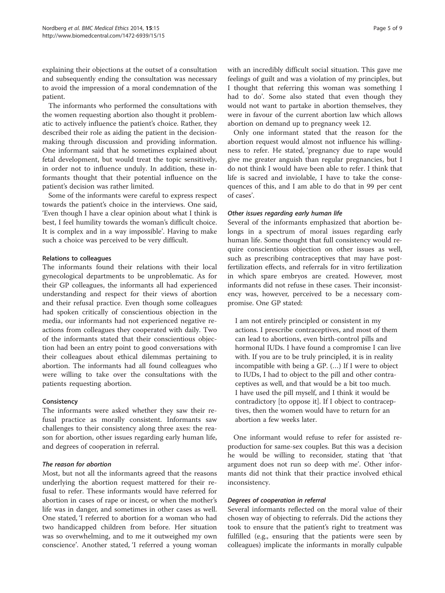explaining their objections at the outset of a consultation and subsequently ending the consultation was necessary to avoid the impression of a moral condemnation of the patient.

The informants who performed the consultations with the women requesting abortion also thought it problematic to actively influence the patient's choice. Rather, they described their role as aiding the patient in the decisionmaking through discussion and providing information. One informant said that he sometimes explained about fetal development, but would treat the topic sensitively, in order not to influence unduly. In addition, these informants thought that their potential influence on the patient's decision was rather limited.

Some of the informants were careful to express respect towards the patient's choice in the interviews. One said, 'Even though I have a clear opinion about what I think is best, I feel humility towards the woman's difficult choice. It is complex and in a way impossible'. Having to make such a choice was perceived to be very difficult.

#### Relations to colleagues

The informants found their relations with their local gynecological departments to be unproblematic. As for their GP colleagues, the informants all had experienced understanding and respect for their views of abortion and their refusal practice. Even though some colleagues had spoken critically of conscientious objection in the media, our informants had not experienced negative reactions from colleagues they cooperated with daily. Two of the informants stated that their conscientious objection had been an entry point to good conversations with their colleagues about ethical dilemmas pertaining to abortion. The informants had all found colleagues who were willing to take over the consultations with the patients requesting abortion.

#### **Consistency**

The informants were asked whether they saw their refusal practice as morally consistent. Informants saw challenges to their consistency along three axes: the reason for abortion, other issues regarding early human life, and degrees of cooperation in referral.

#### The reason for abortion

Most, but not all the informants agreed that the reasons underlying the abortion request mattered for their refusal to refer. These informants would have referred for abortion in cases of rape or incest, or when the mother's life was in danger, and sometimes in other cases as well. One stated, 'I referred to abortion for a woman who had two handicapped children from before. Her situation was so overwhelming, and to me it outweighed my own conscience'. Another stated, 'I referred a young woman

with an incredibly difficult social situation. This gave me feelings of guilt and was a violation of my principles, but I thought that referring this woman was something I had to do'. Some also stated that even though they would not want to partake in abortion themselves, they were in favour of the current abortion law which allows abortion on demand up to pregnancy week 12.

Only one informant stated that the reason for the abortion request would almost not influence his willingness to refer. He stated, 'pregnancy due to rape would give me greater anguish than regular pregnancies, but I do not think I would have been able to refer. I think that life is sacred and inviolable, I have to take the consequences of this, and I am able to do that in 99 per cent of cases'.

#### Other issues regarding early human life

Several of the informants emphasized that abortion belongs in a spectrum of moral issues regarding early human life. Some thought that full consistency would require conscientious objection on other issues as well, such as prescribing contraceptives that may have postfertilization effects, and referrals for in vitro fertilization in which spare embryos are created. However, most informants did not refuse in these cases. Their inconsistency was, however, perceived to be a necessary compromise. One GP stated:

I am not entirely principled or consistent in my actions. I prescribe contraceptives, and most of them can lead to abortions, even birth-control pills and hormonal IUDs. I have found a compromise I can live with. If you are to be truly principled, it is in reality incompatible with being a GP. (…) If I were to object to IUDs, I had to object to the pill and other contraceptives as well, and that would be a bit too much. I have used the pill myself, and I think it would be contradictory [to oppose it]. If I object to contraceptives, then the women would have to return for an abortion a few weeks later.

One informant would refuse to refer for assisted reproduction for same-sex couples. But this was a decision he would be willing to reconsider, stating that 'that argument does not run so deep with me'. Other informants did not think that their practice involved ethical inconsistency.

#### Degrees of cooperation in referral

Several informants reflected on the moral value of their chosen way of objecting to referrals. Did the actions they took to ensure that the patient's right to treatment was fulfilled (e.g., ensuring that the patients were seen by colleagues) implicate the informants in morally culpable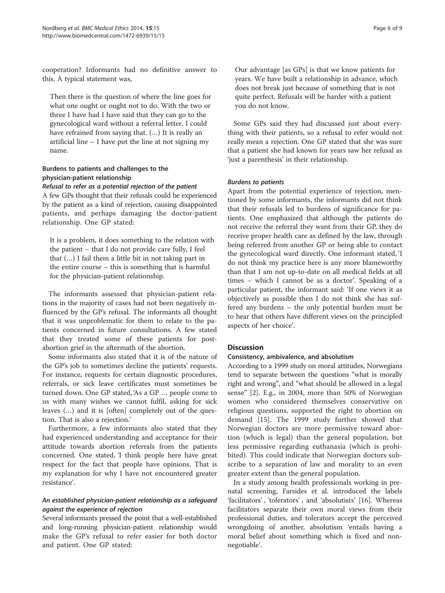cooperation? Informants had no definitive answer to this. A typical statement was,

Then there is the question of where the line goes for what one ought or ought not to do. With the two or three I have had I have said that they can go to the gynecological ward without a referral letter. I could have refrained from saying that. (…) It is really an artificial line  $-1$  have put the line at not signing my name.

### Burdens to patients and challenges to the physician-patient relationship

Refusal to refer as a potential rejection of the patient

A few GPs thought that their refusals could be experienced by the patient as a kind of rejection, causing disappointed patients, and perhaps damaging the doctor-patient relationship. One GP stated:

It is a problem, it does something to the relation with the patient – that I do not provide care fully, I feel that (…) I fail them a little bit in not taking part in the entire course – this is something that is harmful for the physician-patient relationship.

The informants assessed that physician-patient relations in the majority of cases had not been negatively influenced by the GP's refusal. The informants all thought that it was unproblematic for them to relate to the patients concerned in future consultations. A few stated that they treated some of these patients for postabortion grief in the aftermath of the abortion.

Some informants also stated that it is of the nature of the GP's job to sometimes decline the patients' requests. For instance, requests for certain diagnostic procedures, referrals, or sick leave certificates must sometimes be turned down. One GP stated, 'As a GP … people come to us with many wishes we cannot fulfil, asking for sick leaves (…) and it is [often] completely out of the question. That is also a rejection.'

Furthermore, a few informants also stated that they had experienced understanding and acceptance for their attitude towards abortion referrals from the patients concerned. One stated, 'I think people here have great respect for the fact that people have opinions. That is my explanation for why I have not encountered greater resistance'.

# An established physician-patient relationship as a safeguard against the experience of rejection

Several informants pressed the point that a well-established and long-running physician-patient relationship would make the GP's refusal to refer easier for both doctor and patient. One GP stated:

Our advantage [as GPs] is that we know patients for years. We have built a relationship in advance, which does not break just because of something that is not quite perfect. Refusals will be harder with a patient you do not know.

Some GPs said they had discussed just about everything with their patients, so a refusal to refer would not really mean a rejection. One GP stated that she was sure that a patient she had known for years saw her refusal as 'just a parenthesis' in their relationship.

#### Burdens to patients

Apart from the potential experience of rejection, mentioned by some informants, the informants did not think that their refusals led to burdens of significance for patients. One emphasized that although the patients do not receive the referral they want from their GP, they do receive proper health care as defined by the law, through being referred from another GP or being able to contact the gynecological ward directly. One informant stated, 'I do not think my practice here is any more blameworthy than that I am not up-to-date on all medical fields at all times – which I cannot be as a doctor'. Speaking of a particular patient, the informant said: 'If one views it as objectively as possible then I do not think she has suffered any burdens – the only potential burden must be to hear that others have different views on the principled aspects of her choice'.

#### **Discussion**

#### Consistency, ambivalence, and absolutism

According to a 1999 study on moral attitudes, Norwegians tend to separate between the questions "what is morally right and wrong", and "what should be allowed in a legal sense" [[2\]](#page-8-0). E.g., in 2004, more than 50% of Norwegian women who considered themselves conservative on religious questions, supported the right to abortion on demand [[15](#page-8-0)]. The 1999 study further showed that Norwegian doctors are more permissive toward abortion (which is legal) than the general population, but less permissive regarding euthanasia (which is prohibited). This could indicate that Norwegian doctors subscribe to a separation of law and morality to an even greater extent than the general population.

In a study among health professionals working in prenatal screening, Farsides et al. introduced the labels 'facilitators' , 'tolerators' , and 'absolutists' [\[16](#page-8-0)]. Whereas facilitators separate their own moral views from their professional duties, and tolerators accept the perceived wrongdoing of another, absolutism 'entails having a moral belief about something which is fixed and nonnegotiable'.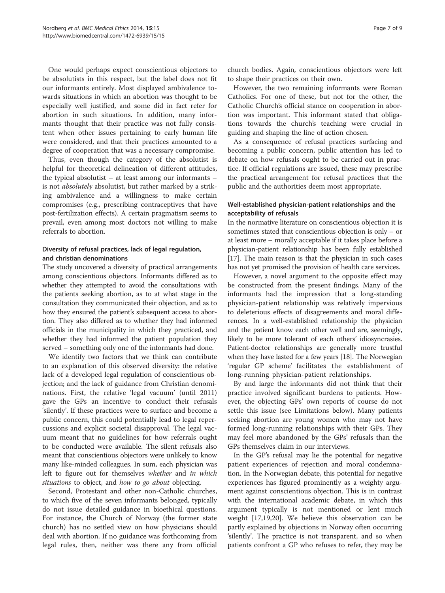One would perhaps expect conscientious objectors to be absolutists in this respect, but the label does not fit our informants entirely. Most displayed ambivalence towards situations in which an abortion was thought to be especially well justified, and some did in fact refer for abortion in such situations. In addition, many informants thought that their practice was not fully consistent when other issues pertaining to early human life were considered, and that their practices amounted to a degree of cooperation that was a necessary compromise.

Thus, even though the category of the absolutist is helpful for theoretical delineation of different attitudes, the typical absolutist – at least among our informants – is not absolutely absolutist, but rather marked by a striking ambivalence and a willingness to make certain compromises (e.g., prescribing contraceptives that have post-fertilization effects). A certain pragmatism seems to prevail, even among most doctors not willing to make referrals to abortion.

# Diversity of refusal practices, lack of legal regulation, and christian denominations

The study uncovered a diversity of practical arrangements among conscientious objectors. Informants differed as to whether they attempted to avoid the consultations with the patients seeking abortion, as to at what stage in the consultation they communicated their objection, and as to how they ensured the patient's subsequent access to abortion. They also differed as to whether they had informed officials in the municipality in which they practiced, and whether they had informed the patient population they served – something only one of the informants had done.

We identify two factors that we think can contribute to an explanation of this observed diversity: the relative lack of a developed legal regulation of conscientious objection; and the lack of guidance from Christian denominations. First, the relative 'legal vacuum' (until 2011) gave the GPs an incentive to conduct their refusals 'silently'. If these practices were to surface and become a public concern, this could potentially lead to legal repercussions and explicit societal disapproval. The legal vacuum meant that no guidelines for how referrals ought to be conducted were available. The silent refusals also meant that conscientious objectors were unlikely to know many like-minded colleagues. In sum, each physician was left to figure out for themselves whether and in which situations to object, and how to go about objecting.

Second, Protestant and other non-Catholic churches, to which five of the seven informants belonged, typically do not issue detailed guidance in bioethical questions. For instance, the Church of Norway (the former state church) has no settled view on how physicians should deal with abortion. If no guidance was forthcoming from legal rules, then, neither was there any from official

church bodies. Again, conscientious objectors were left to shape their practices on their own.

However, the two remaining informants were Roman Catholics. For one of these, but not for the other, the Catholic Church's official stance on cooperation in abortion was important. This informant stated that obligations towards the church's teaching were crucial in guiding and shaping the line of action chosen.

As a consequence of refusal practices surfacing and becoming a public concern, public attention has led to debate on how refusals ought to be carried out in practice. If official regulations are issued, these may prescribe the practical arrangement for refusal practices that the public and the authorities deem most appropriate.

### Well-established physician-patient relationships and the acceptability of refusals

In the normative literature on conscientious objection it is sometimes stated that conscientious objection is only – or at least more – morally acceptable if it takes place before a physician-patient relationship has been fully established [[17](#page-8-0)]. The main reason is that the physician in such cases has not yet promised the provision of health care services.

However, a novel argument to the opposite effect may be constructed from the present findings. Many of the informants had the impression that a long-standing physician-patient relationship was relatively impervious to deleterious effects of disagreements and moral differences. In a well-established relationship the physician and the patient know each other well and are, seemingly, likely to be more tolerant of each others' idiosyncrasies. Patient-doctor relationships are generally more trustful when they have lasted for a few years [[18](#page-8-0)]. The Norwegian 'regular GP scheme' facilitates the establishment of long-running physician-patient relationships.

By and large the informants did not think that their practice involved significant burdens to patients. However, the objecting GPs' own reports of course do not settle this issue (see Limitations below). Many patients seeking abortion are young women who may not have formed long-running relationships with their GPs. They may feel more abandoned by the GPs' refusals than the GPs themselves claim in our interviews.

In the GP's refusal may lie the potential for negative patient experiences of rejection and moral condemnation. In the Norwegian debate, this potential for negative experiences has figured prominently as a weighty argument against conscientious objection. This is in contrast with the international academic debate, in which this argument typically is not mentioned or lent much weight [\[17,19,20\]](#page-8-0). We believe this observation can be partly explained by objections in Norway often occurring 'silently'. The practice is not transparent, and so when patients confront a GP who refuses to refer, they may be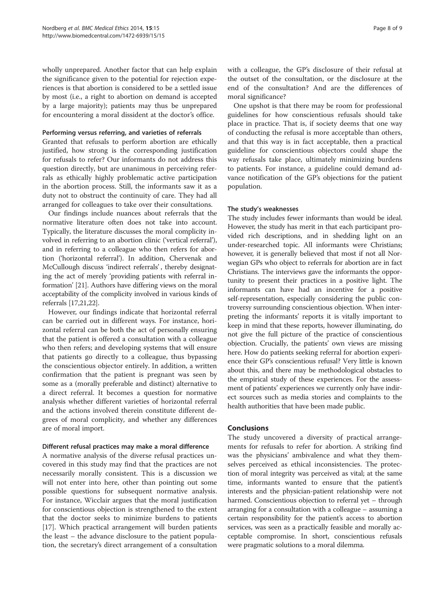wholly unprepared. Another factor that can help explain the significance given to the potential for rejection experiences is that abortion is considered to be a settled issue by most (i.e., a right to abortion on demand is accepted by a large majority); patients may thus be unprepared for encountering a moral dissident at the doctor's office.

#### Performing versus referring, and varieties of referrals

Granted that refusals to perform abortion are ethically justified, how strong is the corresponding justification for refusals to refer? Our informants do not address this question directly, but are unanimous in perceiving referrals as ethically highly problematic active participation in the abortion process. Still, the informants saw it as a duty not to obstruct the continuity of care. They had all arranged for colleagues to take over their consultations.

Our findings include nuances about referrals that the normative literature often does not take into account. Typically, the literature discusses the moral complicity involved in referring to an abortion clinic ('vertical referral'), and in referring to a colleague who then refers for abortion ('horizontal referral'). In addition, Chervenak and McCullough discuss 'indirect referrals', thereby designating the act of merely 'providing patients with referral information' [\[21\]](#page-8-0). Authors have differing views on the moral acceptability of the complicity involved in various kinds of referrals [\[17,21,22\]](#page-8-0).

However, our findings indicate that horizontal referral can be carried out in different ways. For instance, horizontal referral can be both the act of personally ensuring that the patient is offered a consultation with a colleague who then refers; and developing systems that will ensure that patients go directly to a colleague, thus bypassing the conscientious objector entirely. In addition, a written confirmation that the patient is pregnant was seen by some as a (morally preferable and distinct) alternative to a direct referral. It becomes a question for normative analysis whether different varieties of horizontal referral and the actions involved therein constitute different degrees of moral complicity, and whether any differences are of moral import.

### Different refusal practices may make a moral difference

A normative analysis of the diverse refusal practices uncovered in this study may find that the practices are not necessarily morally consistent. This is a discussion we will not enter into here, other than pointing out some possible questions for subsequent normative analysis. For instance, Wicclair argues that the moral justification for conscientious objection is strengthened to the extent that the doctor seeks to minimize burdens to patients [[17\]](#page-8-0). Which practical arrangement will burden patients the least – the advance disclosure to the patient population, the secretary's direct arrangement of a consultation with a colleague, the GP's disclosure of their refusal at the outset of the consultation, or the disclosure at the end of the consultation? And are the differences of moral significance?

One upshot is that there may be room for professional guidelines for how conscientious refusals should take place in practice. That is, if society deems that one way of conducting the refusal is more acceptable than others, and that this way is in fact acceptable, then a practical guideline for conscientious objectors could shape the way refusals take place, ultimately minimizing burdens to patients. For instance, a guideline could demand advance notification of the GP's objections for the patient population.

### The study's weaknesses

The study includes fewer informants than would be ideal. However, the study has merit in that each participant provided rich descriptions, and in shedding light on an under-researched topic. All informants were Christians; however, it is generally believed that most if not all Norwegian GPs who object to referrals for abortion are in fact Christians. The interviews gave the informants the opportunity to present their practices in a positive light. The informants can have had an incentive for a positive self-representation, especially considering the public controversy surrounding conscientious objection. When interpreting the informants' reports it is vitally important to keep in mind that these reports, however illuminating, do not give the full picture of the practice of conscientious objection. Crucially, the patients' own views are missing here. How do patients seeking referral for abortion experience their GP's conscientious refusal? Very little is known about this, and there may be methodological obstacles to the empirical study of these experiences. For the assessment of patients' experiences we currently only have indirect sources such as media stories and complaints to the health authorities that have been made public.

### Conclusions

The study uncovered a diversity of practical arrangements for refusals to refer for abortion. A striking find was the physicians' ambivalence and what they themselves perceived as ethical inconsistencies. The protection of moral integrity was perceived as vital; at the same time, informants wanted to ensure that the patient's interests and the physician-patient relationship were not harmed. Conscientious objection to referral yet – through arranging for a consultation with a colleague – assuming a certain responsibility for the patient's access to abortion services, was seen as a practically feasible and morally acceptable compromise. In short, conscientious refusals were pragmatic solutions to a moral dilemma.